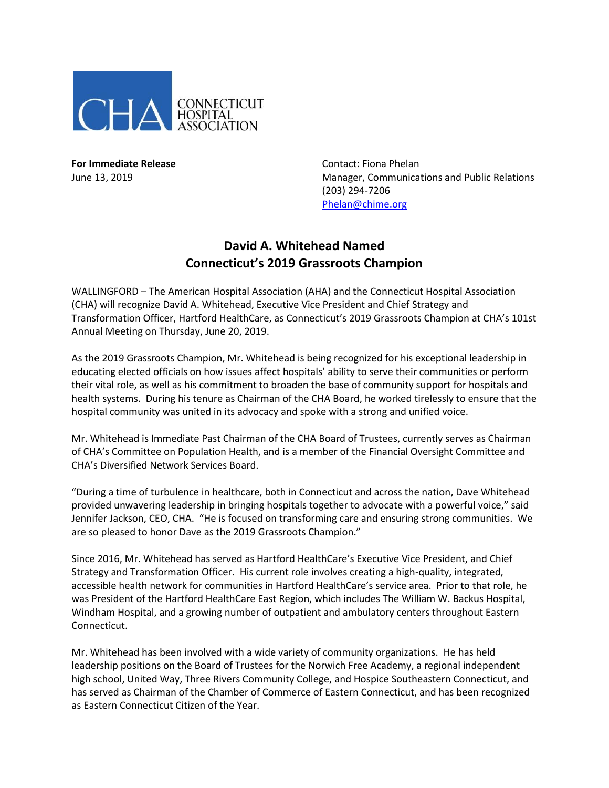

**For Immediate Release** Contact: Fiona Phelan

June 13, 2019 Manager, Communications and Public Relations (203) 294-7206 [Phelan@chime.org](mailto:Phelan@chime.org)

## **David A. Whitehead Named Connecticut's 2019 Grassroots Champion**

WALLINGFORD – The American Hospital Association (AHA) and the Connecticut Hospital Association (CHA) will recognize David A. Whitehead, Executive Vice President and Chief Strategy and Transformation Officer, Hartford HealthCare, as Connecticut's 2019 Grassroots Champion at CHA's 101st Annual Meeting on Thursday, June 20, 2019.

As the 2019 Grassroots Champion, Mr. Whitehead is being recognized for his exceptional leadership in educating elected officials on how issues affect hospitals' ability to serve their communities or perform their vital role, as well as his commitment to broaden the base of community support for hospitals and health systems. During his tenure as Chairman of the CHA Board, he worked tirelessly to ensure that the hospital community was united in its advocacy and spoke with a strong and unified voice.

Mr. Whitehead is Immediate Past Chairman of the CHA Board of Trustees, currently serves as Chairman of CHA's Committee on Population Health, and is a member of the Financial Oversight Committee and CHA's Diversified Network Services Board.

"During a time of turbulence in healthcare, both in Connecticut and across the nation, Dave Whitehead provided unwavering leadership in bringing hospitals together to advocate with a powerful voice," said Jennifer Jackson, CEO, CHA. "He is focused on transforming care and ensuring strong communities. We are so pleased to honor Dave as the 2019 Grassroots Champion."

Since 2016, Mr. Whitehead has served as Hartford HealthCare's Executive Vice President, and Chief Strategy and Transformation Officer. His current role involves creating a high-quality, integrated, accessible health network for communities in Hartford HealthCare's service area. Prior to that role, he was President of the Hartford HealthCare East Region, which includes The William W. Backus Hospital, Windham Hospital, and a growing number of outpatient and ambulatory centers throughout Eastern Connecticut.

Mr. Whitehead has been involved with a wide variety of community organizations. He has held leadership positions on the Board of Trustees for the Norwich Free Academy, a regional independent high school, United Way, Three Rivers Community College, and Hospice Southeastern Connecticut, and has served as Chairman of the Chamber of Commerce of Eastern Connecticut, and has been recognized as Eastern Connecticut Citizen of the Year.